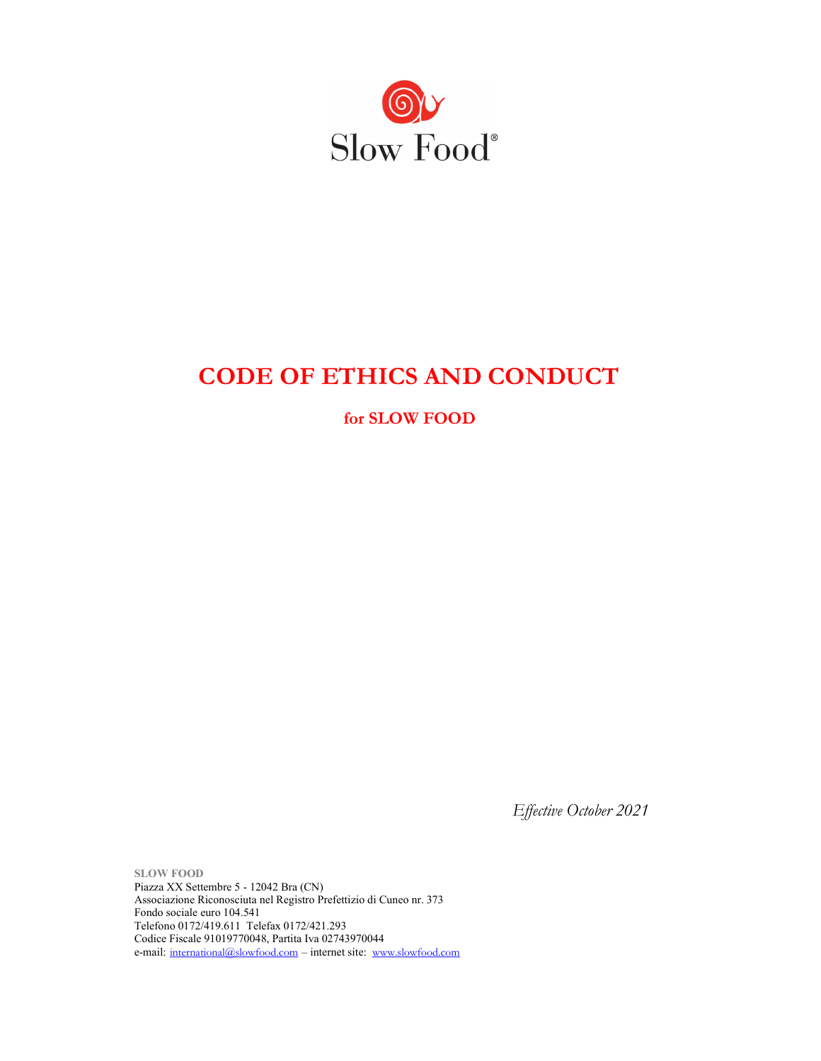

# CODE OF ETHICS AND CONDUCT

for SLOW FOOD

Effective October 2021

SLOW FOOD Piazza XX Settembre 5 - 12042 Bra (CN) Associazione Riconosciuta nel Registro Prefettizio di Cuneo nr. 373 Fondo sociale euro 104.541 Telefono 0172/419.611 Telefax 0172/421.293 Codice Fiscale 91019770048, Partita Iva 02743970044 e-mail: international@slowfood.com – internet site: www.slowfood.com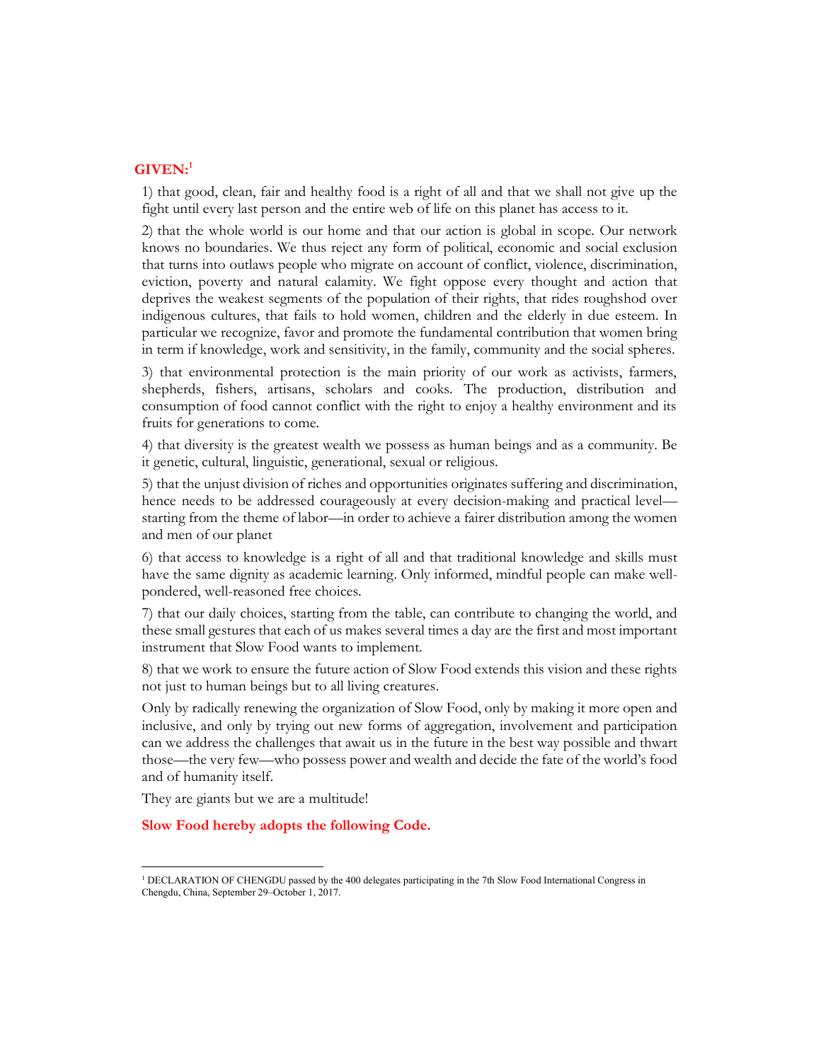# $GIVEN:$ <sup>1</sup>

1) that good, clean, fair and healthy food is a right of all and that we shall not give up the fight until every last person and the entire web of life on this planet has access to it.

2) that the whole world is our home and that our action is global in scope. Our network knows no boundaries. We thus reject any form of political, economic and social exclusion that turns into outlaws people who migrate on account of conflict, violence, discrimination, eviction, poverty and natural calamity. We fight oppose every thought and action that deprives the weakest segments of the population of their rights, that rides roughshod over indigenous cultures, that fails to hold women, children and the elderly in due esteem. In particular we recognize, favor and promote the fundamental contribution that women bring in term if knowledge, work and sensitivity, in the family, community and the social spheres.

3) that environmental protection is the main priority of our work as activists, farmers, shepherds, fishers, artisans, scholars and cooks. The production, distribution and consumption of food cannot conflict with the right to enjoy a healthy environment and its fruits for generations to come.

4) that diversity is the greatest wealth we possess as human beings and as a community. Be it genetic, cultural, linguistic, generational, sexual or religious.

5) that the unjust division of riches and opportunities originates suffering and discrimination, hence needs to be addressed courageously at every decision-making and practical level starting from the theme of labor—in order to achieve a fairer distribution among the women and men of our planet

6) that access to knowledge is a right of all and that traditional knowledge and skills must have the same dignity as academic learning. Only informed, mindful people can make wellpondered, well-reasoned free choices.

7) that our daily choices, starting from the table, can contribute to changing the world, and these small gestures that each of us makes several times a day are the first and most important instrument that Slow Food wants to implement.

8) that we work to ensure the future action of Slow Food extends this vision and these rights not just to human beings but to all living creatures.

Only by radically renewing the organization of Slow Food, only by making it more open and inclusive, and only by trying out new forms of aggregation, involvement and participation can we address the challenges that await us in the future in the best way possible and thwart those—the very few—who possess power and wealth and decide the fate of the world's food and of humanity itself.

They are giants but we are a multitude!

Slow Food hereby adopts the following Code.

<sup>&</sup>lt;sup>1</sup> DECLARATION OF CHENGDU passed by the 400 delegates participating in the 7th Slow Food International Congress in Chengdu, China, September 29–October 1, 2017.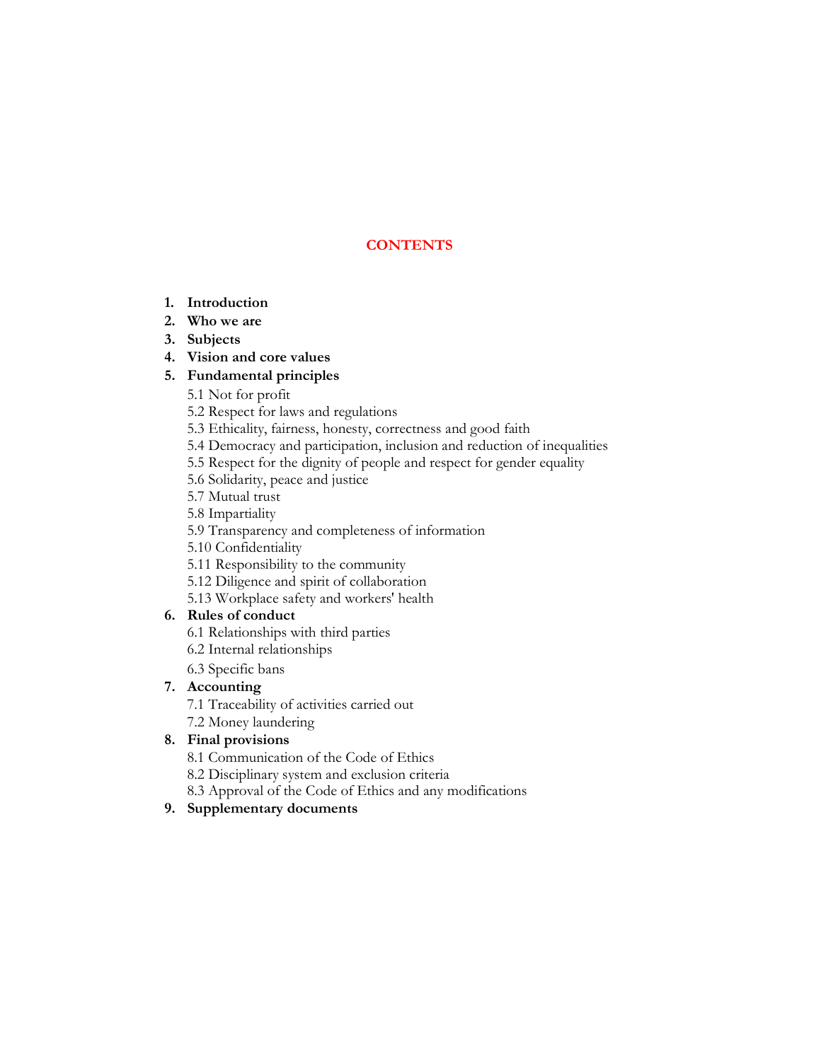# **CONTENTS**

- 1. Introduction
- 2. Who we are
- 3. Subjects
- 4. Vision and core values

# 5. Fundamental principles

- 5.1 Not for profit
- 5.2 Respect for laws and regulations
- 5.3 Ethicality, fairness, honesty, correctness and good faith
- 5.4 Democracy and participation, inclusion and reduction of inequalities
- 5.5 Respect for the dignity of people and respect for gender equality
- 5.6 Solidarity, peace and justice
- 5.7 Mutual trust
- 5.8 Impartiality
- 5.9 Transparency and completeness of information
- 5.10 Confidentiality
- 5.11 Responsibility to the community
- 5.12 Diligence and spirit of collaboration
- 5.13 Workplace safety and workers' health

# 6. Rules of conduct

- 6.1 Relationships with third parties
- 6.2 Internal relationships
- 6.3 Specific bans

# 7. Accounting

- 7.1 Traceability of activities carried out
- 7.2 Money laundering

# 8. Final provisions

- 8.1 Communication of the Code of Ethics
- 8.2 Disciplinary system and exclusion criteria
- 8.3 Approval of the Code of Ethics and any modifications

# 9. Supplementary documents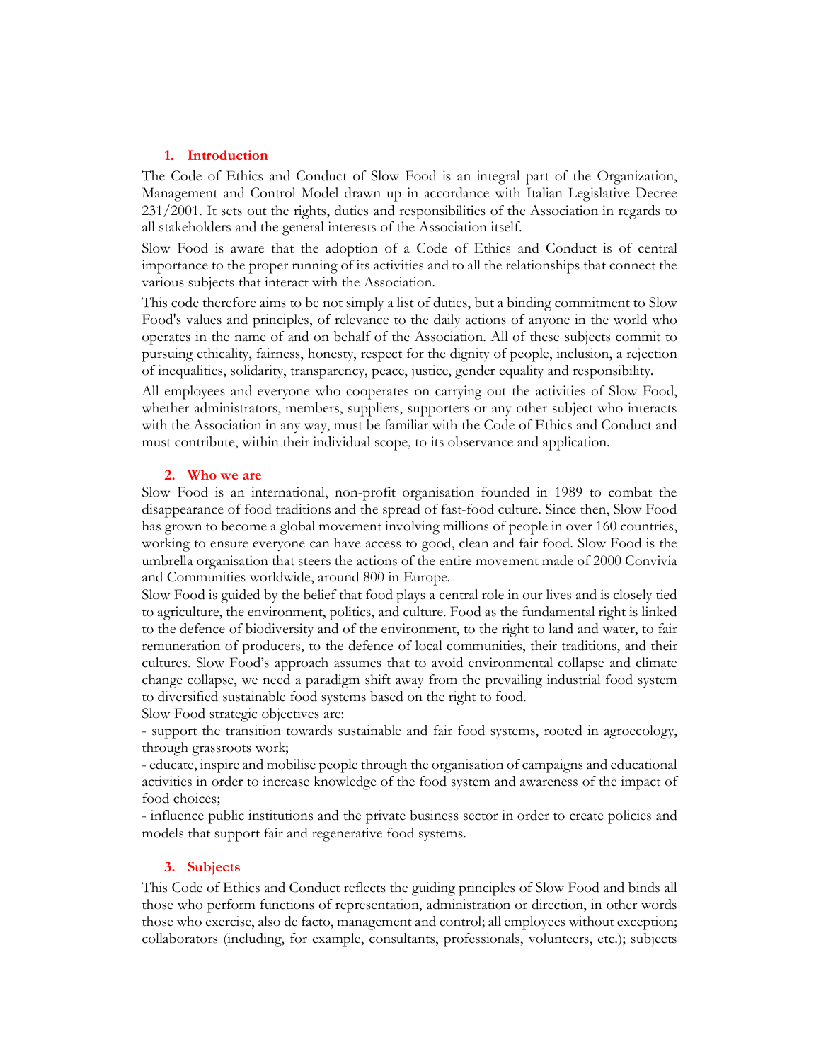## 1. Introduction

The Code of Ethics and Conduct of Slow Food is an integral part of the Organization, Management and Control Model drawn up in accordance with Italian Legislative Decree 231/2001. It sets out the rights, duties and responsibilities of the Association in regards to all stakeholders and the general interests of the Association itself.

Slow Food is aware that the adoption of a Code of Ethics and Conduct is of central importance to the proper running of its activities and to all the relationships that connect the various subjects that interact with the Association.

This code therefore aims to be not simply a list of duties, but a binding commitment to Slow Food's values and principles, of relevance to the daily actions of anyone in the world who operates in the name of and on behalf of the Association. All of these subjects commit to pursuing ethicality, fairness, honesty, respect for the dignity of people, inclusion, a rejection of inequalities, solidarity, transparency, peace, justice, gender equality and responsibility.

All employees and everyone who cooperates on carrying out the activities of Slow Food, whether administrators, members, suppliers, supporters or any other subject who interacts with the Association in any way, must be familiar with the Code of Ethics and Conduct and must contribute, within their individual scope, to its observance and application.

#### 2. Who we are

Slow Food is an international, non-profit organisation founded in 1989 to combat the disappearance of food traditions and the spread of fast-food culture. Since then, Slow Food has grown to become a global movement involving millions of people in over 160 countries, working to ensure everyone can have access to good, clean and fair food. Slow Food is the umbrella organisation that steers the actions of the entire movement made of 2000 Convivia and Communities worldwide, around 800 in Europe.

Slow Food is guided by the belief that food plays a central role in our lives and is closely tied to agriculture, the environment, politics, and culture. Food as the fundamental right is linked to the defence of biodiversity and of the environment, to the right to land and water, to fair remuneration of producers, to the defence of local communities, their traditions, and their cultures. Slow Food's approach assumes that to avoid environmental collapse and climate change collapse, we need a paradigm shift away from the prevailing industrial food system to diversified sustainable food systems based on the right to food.

Slow Food strategic objectives are:

- support the transition towards sustainable and fair food systems, rooted in agroecology, through grassroots work;

- educate, inspire and mobilise people through the organisation of campaigns and educational activities in order to increase knowledge of the food system and awareness of the impact of food choices;

- influence public institutions and the private business sector in order to create policies and models that support fair and regenerative food systems.

## 3. Subjects

This Code of Ethics and Conduct reflects the guiding principles of Slow Food and binds all those who perform functions of representation, administration or direction, in other words those who exercise, also de facto, management and control; all employees without exception; collaborators (including, for example, consultants, professionals, volunteers, etc.); subjects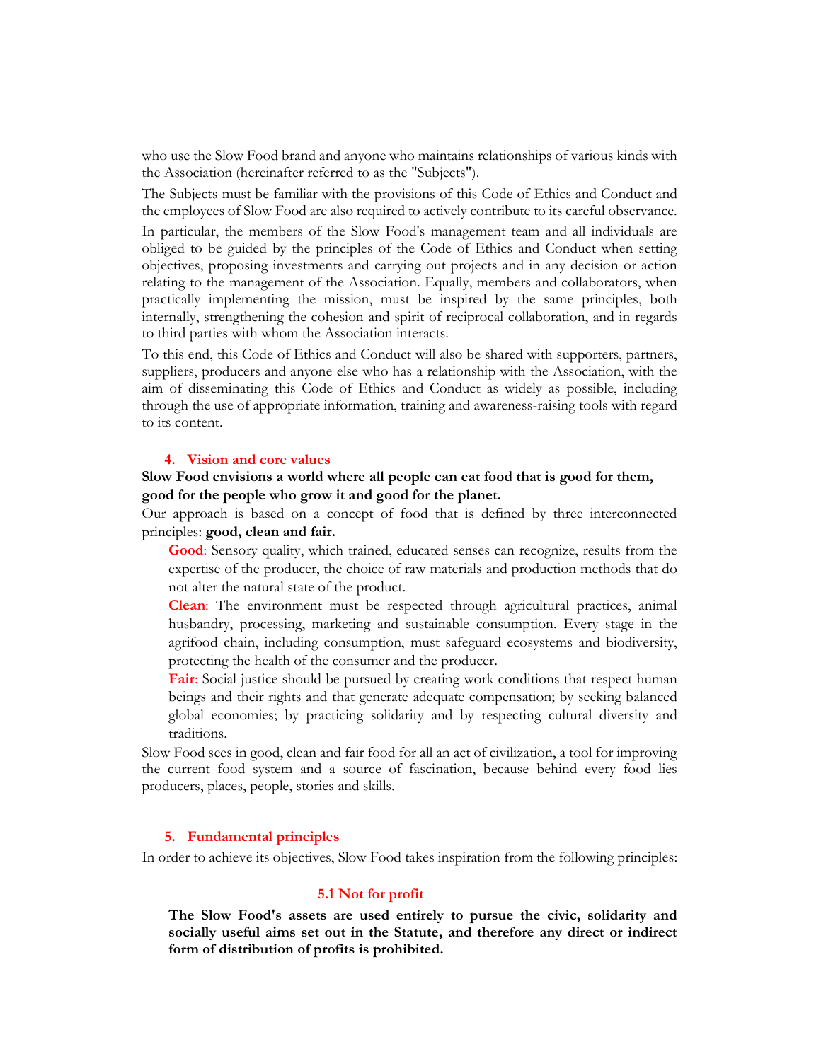who use the Slow Food brand and anyone who maintains relationships of various kinds with the Association (hereinafter referred to as the "Subjects").

The Subjects must be familiar with the provisions of this Code of Ethics and Conduct and the employees of Slow Food are also required to actively contribute to its careful observance.

In particular, the members of the Slow Food's management team and all individuals are obliged to be guided by the principles of the Code of Ethics and Conduct when setting objectives, proposing investments and carrying out projects and in any decision or action relating to the management of the Association. Equally, members and collaborators, when practically implementing the mission, must be inspired by the same principles, both internally, strengthening the cohesion and spirit of reciprocal collaboration, and in regards to third parties with whom the Association interacts.

To this end, this Code of Ethics and Conduct will also be shared with supporters, partners, suppliers, producers and anyone else who has a relationship with the Association, with the aim of disseminating this Code of Ethics and Conduct as widely as possible, including through the use of appropriate information, training and awareness-raising tools with regard to its content.

### 4. Vision and core values

# Slow Food envisions a world where all people can eat food that is good for them, good for the people who grow it and good for the planet.

Our approach is based on a concept of food that is defined by three interconnected principles: good, clean and fair.

Good: Sensory quality, which trained, educated senses can recognize, results from the expertise of the producer, the choice of raw materials and production methods that do not alter the natural state of the product.

Clean: The environment must be respected through agricultural practices, animal husbandry, processing, marketing and sustainable consumption. Every stage in the agrifood chain, including consumption, must safeguard ecosystems and biodiversity, protecting the health of the consumer and the producer.

Fair: Social justice should be pursued by creating work conditions that respect human beings and their rights and that generate adequate compensation; by seeking balanced global economies; by practicing solidarity and by respecting cultural diversity and traditions.

Slow Food sees in good, clean and fair food for all an act of civilization, a tool for improving the current food system and a source of fascination, because behind every food lies producers, places, people, stories and skills.

#### 5. Fundamental principles

In order to achieve its objectives, Slow Food takes inspiration from the following principles:

#### 5.1 Not for profit

The Slow Food's assets are used entirely to pursue the civic, solidarity and socially useful aims set out in the Statute, and therefore any direct or indirect form of distribution of profits is prohibited.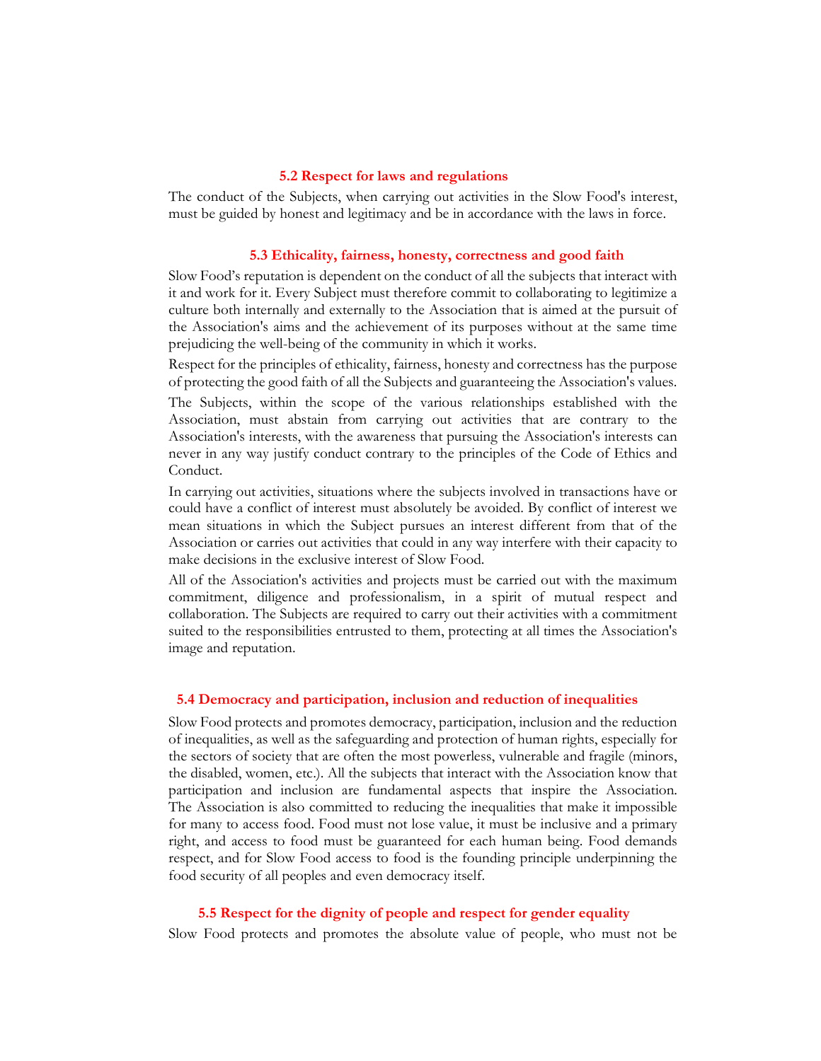## 5.2 Respect for laws and regulations

The conduct of the Subjects, when carrying out activities in the Slow Food's interest, must be guided by honest and legitimacy and be in accordance with the laws in force.

#### 5.3 Ethicality, fairness, honesty, correctness and good faith

Slow Food's reputation is dependent on the conduct of all the subjects that interact with it and work for it. Every Subject must therefore commit to collaborating to legitimize a culture both internally and externally to the Association that is aimed at the pursuit of the Association's aims and the achievement of its purposes without at the same time prejudicing the well-being of the community in which it works.

Respect for the principles of ethicality, fairness, honesty and correctness has the purpose of protecting the good faith of all the Subjects and guaranteeing the Association's values.

The Subjects, within the scope of the various relationships established with the Association, must abstain from carrying out activities that are contrary to the Association's interests, with the awareness that pursuing the Association's interests can never in any way justify conduct contrary to the principles of the Code of Ethics and Conduct.

In carrying out activities, situations where the subjects involved in transactions have or could have a conflict of interest must absolutely be avoided. By conflict of interest we mean situations in which the Subject pursues an interest different from that of the Association or carries out activities that could in any way interfere with their capacity to make decisions in the exclusive interest of Slow Food.

All of the Association's activities and projects must be carried out with the maximum commitment, diligence and professionalism, in a spirit of mutual respect and collaboration. The Subjects are required to carry out their activities with a commitment suited to the responsibilities entrusted to them, protecting at all times the Association's image and reputation.

## 5.4 Democracy and participation, inclusion and reduction of inequalities

Slow Food protects and promotes democracy, participation, inclusion and the reduction of inequalities, as well as the safeguarding and protection of human rights, especially for the sectors of society that are often the most powerless, vulnerable and fragile (minors, the disabled, women, etc.). All the subjects that interact with the Association know that participation and inclusion are fundamental aspects that inspire the Association. The Association is also committed to reducing the inequalities that make it impossible for many to access food. Food must not lose value, it must be inclusive and a primary right, and access to food must be guaranteed for each human being. Food demands respect, and for Slow Food access to food is the founding principle underpinning the food security of all peoples and even democracy itself.

## 5.5 Respect for the dignity of people and respect for gender equality

Slow Food protects and promotes the absolute value of people, who must not be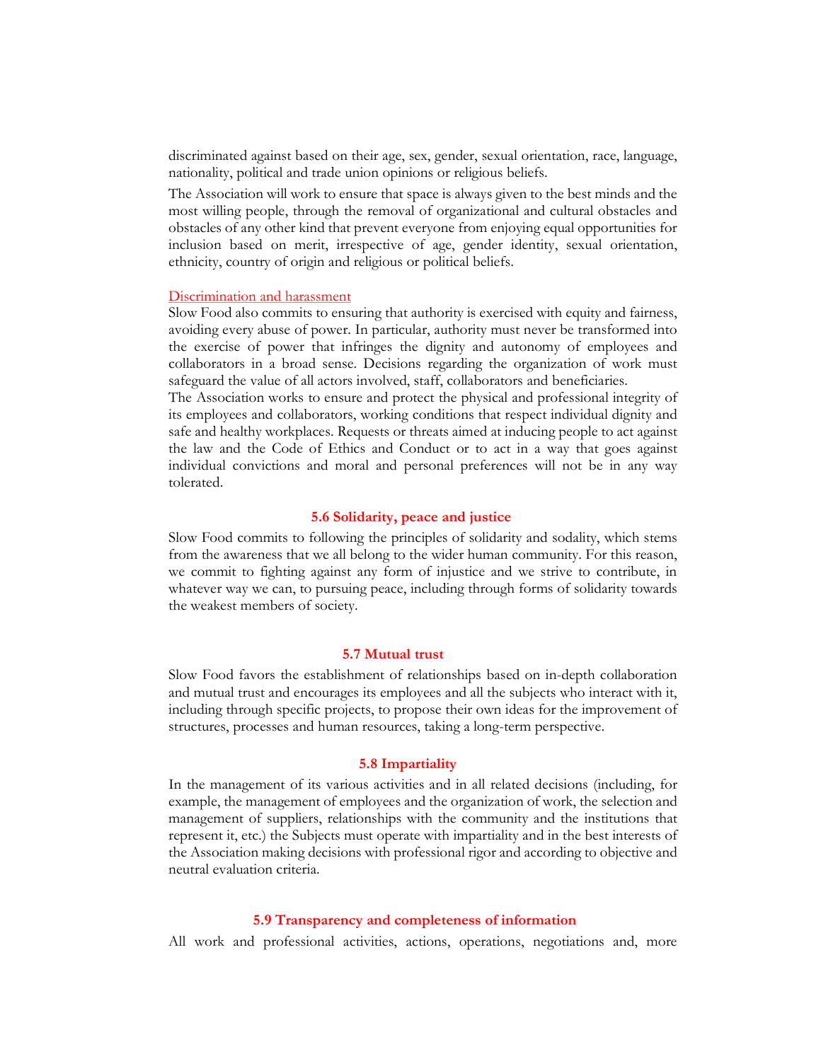discriminated against based on their age, sex, gender, sexual orientation, race, language, nationality, political and trade union opinions or religious beliefs.

The Association will work to ensure that space is always given to the best minds and the most willing people, through the removal of organizational and cultural obstacles and obstacles of any other kind that prevent everyone from enjoying equal opportunities for inclusion based on merit, irrespective of age, gender identity, sexual orientation, ethnicity, country of origin and religious or political beliefs.

#### Discrimination and harassment

Slow Food also commits to ensuring that authority is exercised with equity and fairness, avoiding every abuse of power. In particular, authority must never be transformed into the exercise of power that infringes the dignity and autonomy of employees and collaborators in a broad sense. Decisions regarding the organization of work must safeguard the value of all actors involved, staff, collaborators and beneficiaries.

The Association works to ensure and protect the physical and professional integrity of its employees and collaborators, working conditions that respect individual dignity and safe and healthy workplaces. Requests or threats aimed at inducing people to act against the law and the Code of Ethics and Conduct or to act in a way that goes against individual convictions and moral and personal preferences will not be in any way tolerated.

## 5.6 Solidarity, peace and justice

Slow Food commits to following the principles of solidarity and sodality, which stems from the awareness that we all belong to the wider human community. For this reason, we commit to fighting against any form of injustice and we strive to contribute, in whatever way we can, to pursuing peace, including through forms of solidarity towards the weakest members of society.

### 5.7 Mutual trust

Slow Food favors the establishment of relationships based on in-depth collaboration and mutual trust and encourages its employees and all the subjects who interact with it, including through specific projects, to propose their own ideas for the improvement of structures, processes and human resources, taking a long-term perspective.

#### 5.8 Impartiality

In the management of its various activities and in all related decisions (including, for example, the management of employees and the organization of work, the selection and management of suppliers, relationships with the community and the institutions that represent it, etc.) the Subjects must operate with impartiality and in the best interests of the Association making decisions with professional rigor and according to objective and neutral evaluation criteria.

## 5.9 Transparency and completeness of information

All work and professional activities, actions, operations, negotiations and, more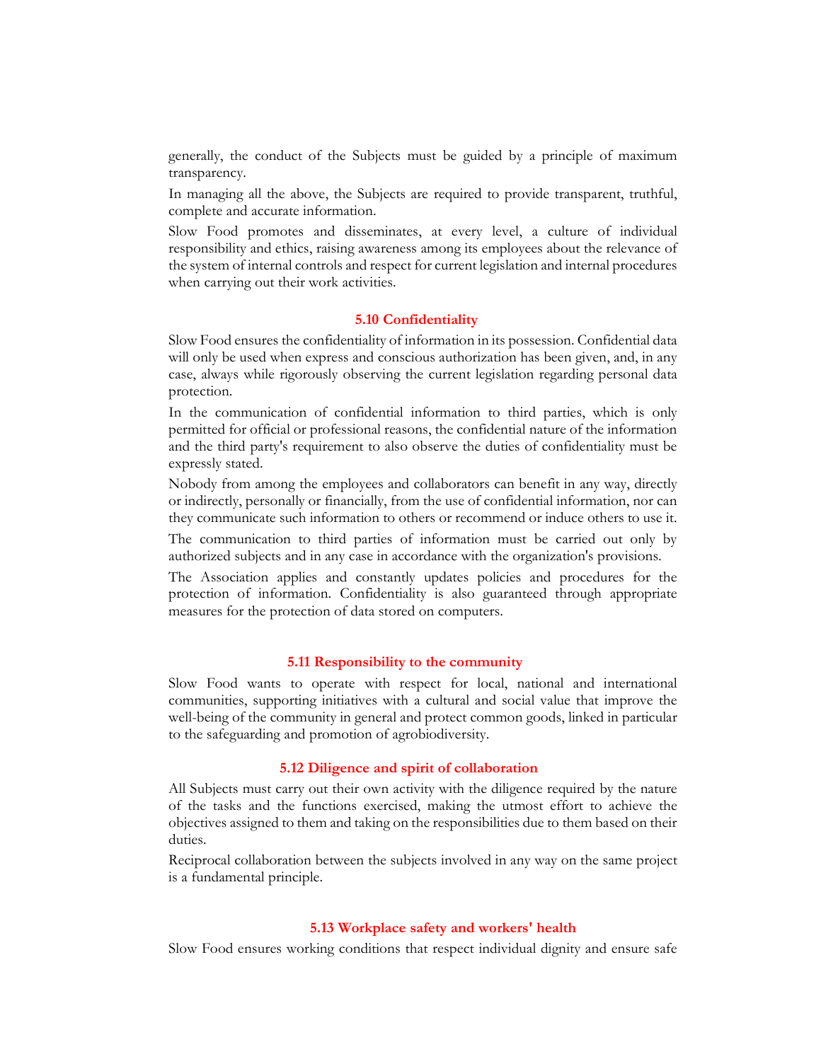generally, the conduct of the Subjects must be guided by a principle of maximum transparency.

In managing all the above, the Subjects are required to provide transparent, truthful, complete and accurate information.

Slow Food promotes and disseminates, at every level, a culture of individual responsibility and ethics, raising awareness among its employees about the relevance of the system of internal controls and respect for current legislation and internal procedures when carrying out their work activities.

#### 5.10 Confidentiality

Slow Food ensures the confidentiality of information in its possession. Confidential data will only be used when express and conscious authorization has been given, and, in any case, always while rigorously observing the current legislation regarding personal data protection.

In the communication of confidential information to third parties, which is only permitted for official or professional reasons, the confidential nature of the information and the third party's requirement to also observe the duties of confidentiality must be expressly stated.

Nobody from among the employees and collaborators can benefit in any way, directly or indirectly, personally or financially, from the use of confidential information, nor can they communicate such information to others or recommend or induce others to use it.

The communication to third parties of information must be carried out only by authorized subjects and in any case in accordance with the organization's provisions.

The Association applies and constantly updates policies and procedures for the protection of information. Confidentiality is also guaranteed through appropriate measures for the protection of data stored on computers.

## 5.11 Responsibility to the community

Slow Food wants to operate with respect for local, national and international communities, supporting initiatives with a cultural and social value that improve the well-being of the community in general and protect common goods, linked in particular to the safeguarding and promotion of agrobiodiversity.

## 5.12 Diligence and spirit of collaboration

All Subjects must carry out their own activity with the diligence required by the nature of the tasks and the functions exercised, making the utmost effort to achieve the objectives assigned to them and taking on the responsibilities due to them based on their duties.

Reciprocal collaboration between the subjects involved in any way on the same project is a fundamental principle.

## 5.13 Workplace safety and workers' health

Slow Food ensures working conditions that respect individual dignity and ensure safe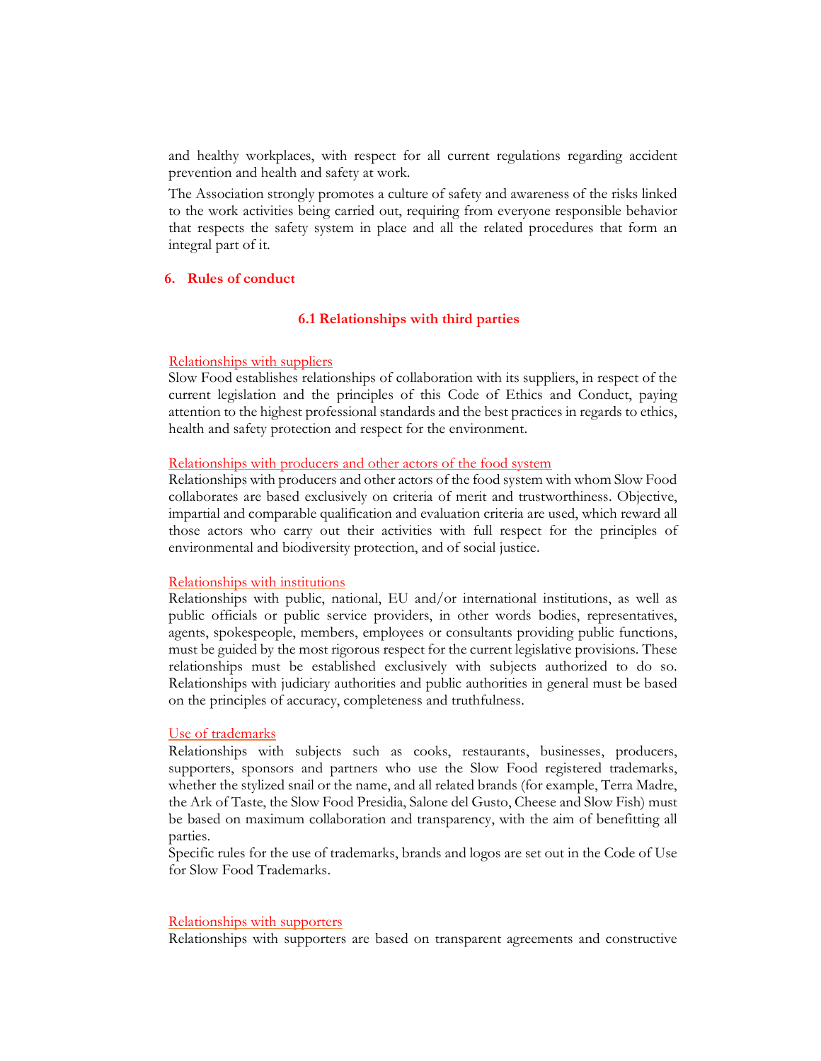and healthy workplaces, with respect for all current regulations regarding accident prevention and health and safety at work.

The Association strongly promotes a culture of safety and awareness of the risks linked to the work activities being carried out, requiring from everyone responsible behavior that respects the safety system in place and all the related procedures that form an integral part of it.

## 6. Rules of conduct

## 6.1 Relationships with third parties

## Relationships with suppliers

Slow Food establishes relationships of collaboration with its suppliers, in respect of the current legislation and the principles of this Code of Ethics and Conduct, paying attention to the highest professional standards and the best practices in regards to ethics, health and safety protection and respect for the environment.

#### Relationships with producers and other actors of the food system

Relationships with producers and other actors of the food system with whom Slow Food collaborates are based exclusively on criteria of merit and trustworthiness. Objective, impartial and comparable qualification and evaluation criteria are used, which reward all those actors who carry out their activities with full respect for the principles of environmental and biodiversity protection, and of social justice.

#### Relationships with institutions

Relationships with public, national, EU and/or international institutions, as well as public officials or public service providers, in other words bodies, representatives, agents, spokespeople, members, employees or consultants providing public functions, must be guided by the most rigorous respect for the current legislative provisions. These relationships must be established exclusively with subjects authorized to do so. Relationships with judiciary authorities and public authorities in general must be based on the principles of accuracy, completeness and truthfulness.

#### Use of trademarks

Relationships with subjects such as cooks, restaurants, businesses, producers, supporters, sponsors and partners who use the Slow Food registered trademarks, whether the stylized snail or the name, and all related brands (for example, Terra Madre, the Ark of Taste, the Slow Food Presidia, Salone del Gusto, Cheese and Slow Fish) must be based on maximum collaboration and transparency, with the aim of benefitting all parties.

Specific rules for the use of trademarks, brands and logos are set out in the Code of Use for Slow Food Trademarks.

#### Relationships with supporters

Relationships with supporters are based on transparent agreements and constructive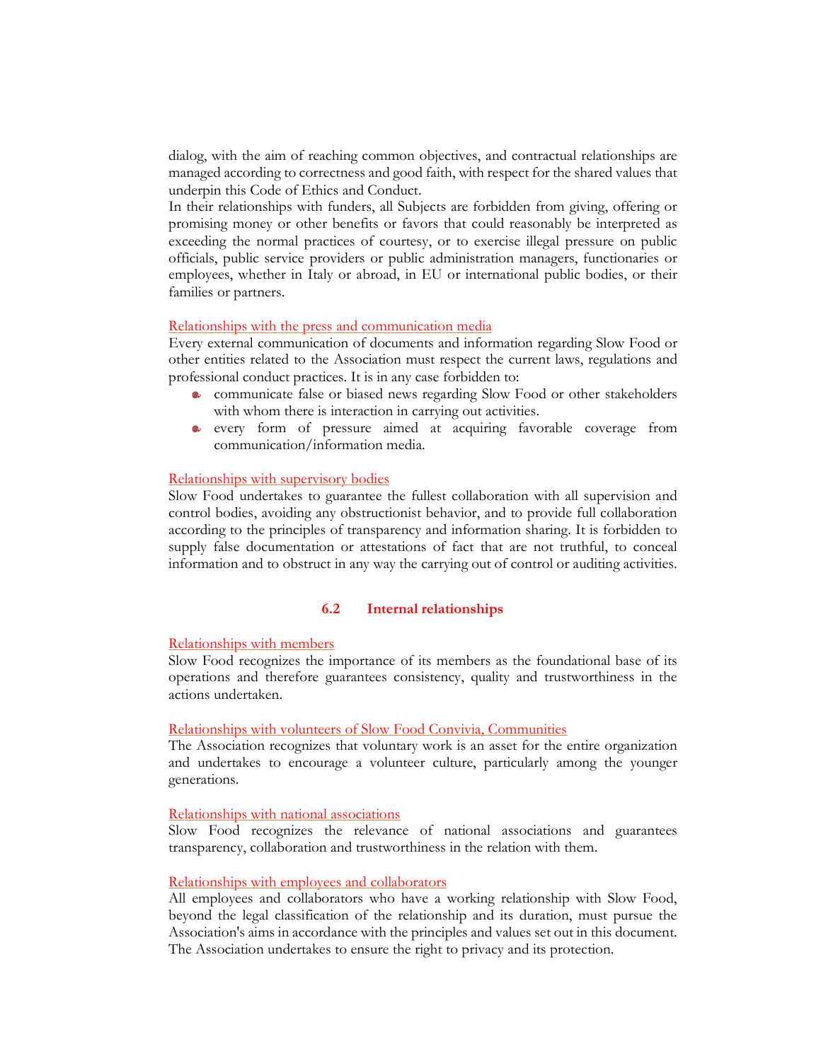dialog, with the aim of reaching common objectives, and contractual relationships are managed according to correctness and good faith, with respect for the shared values that underpin this Code of Ethics and Conduct.

In their relationships with funders, all Subjects are forbidden from giving, offering or promising money or other benefits or favors that could reasonably be interpreted as exceeding the normal practices of courtesy, or to exercise illegal pressure on public officials, public service providers or public administration managers, functionaries or employees, whether in Italy or abroad, in EU or international public bodies, or their families or partners.

## Relationships with the press and communication media

Every external communication of documents and information regarding Slow Food or other entities related to the Association must respect the current laws, regulations and professional conduct practices. It is in any case forbidden to:

- communicate false or biased news regarding Slow Food or other stakeholders with whom there is interaction in carrying out activities.
- every form of pressure aimed at acquiring favorable coverage from communication/information media.

## Relationships with supervisory bodies

Slow Food undertakes to guarantee the fullest collaboration with all supervision and control bodies, avoiding any obstructionist behavior, and to provide full collaboration according to the principles of transparency and information sharing. It is forbidden to supply false documentation or attestations of fact that are not truthful, to conceal information and to obstruct in any way the carrying out of control or auditing activities.

#### 6.2 Internal relationships

#### Relationships with members

Slow Food recognizes the importance of its members as the foundational base of its operations and therefore guarantees consistency, quality and trustworthiness in the actions undertaken.

#### Relationships with volunteers of Slow Food Convivia, Communities

The Association recognizes that voluntary work is an asset for the entire organization and undertakes to encourage a volunteer culture, particularly among the younger generations.

#### Relationships with national associations

Slow Food recognizes the relevance of national associations and guarantees transparency, collaboration and trustworthiness in the relation with them.

#### Relationships with employees and collaborators

All employees and collaborators who have a working relationship with Slow Food, beyond the legal classification of the relationship and its duration, must pursue the Association's aims in accordance with the principles and values set out in this document. The Association undertakes to ensure the right to privacy and its protection.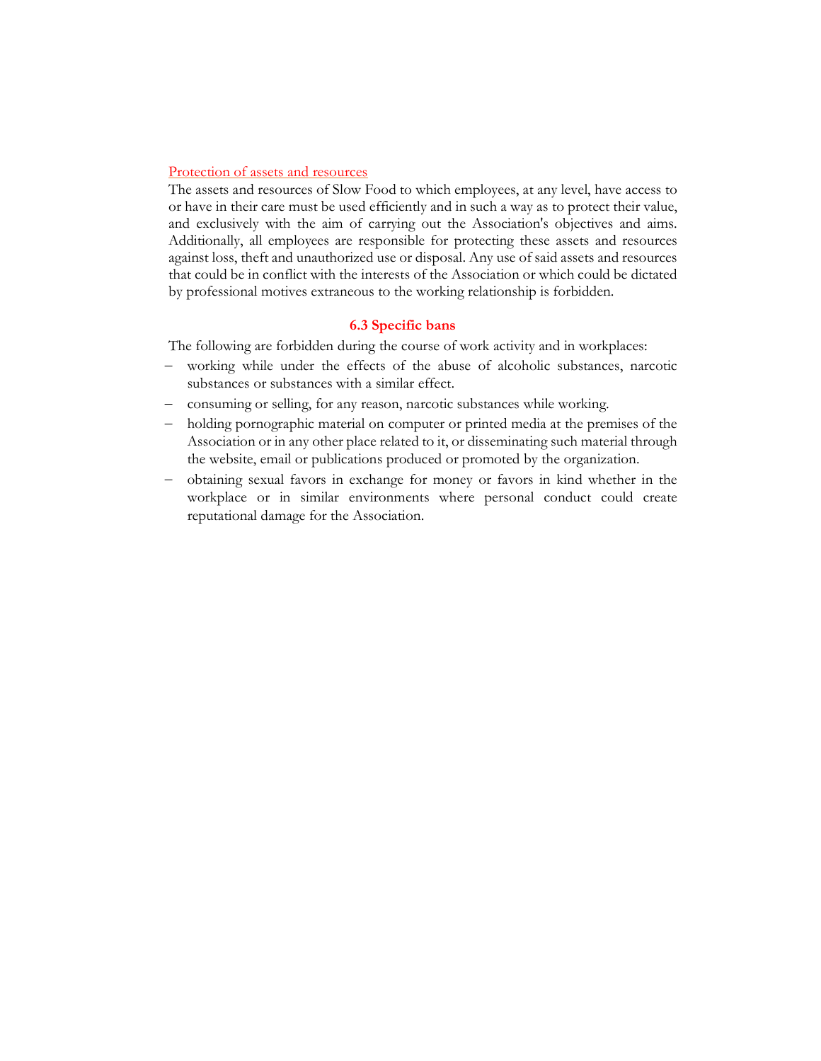## Protection of assets and resources

The assets and resources of Slow Food to which employees, at any level, have access to or have in their care must be used efficiently and in such a way as to protect their value, and exclusively with the aim of carrying out the Association's objectives and aims. Additionally, all employees are responsible for protecting these assets and resources against loss, theft and unauthorized use or disposal. Any use of said assets and resources that could be in conflict with the interests of the Association or which could be dictated by professional motives extraneous to the working relationship is forbidden.

# 6.3 Specific bans

The following are forbidden during the course of work activity and in workplaces:

- working while under the effects of the abuse of alcoholic substances, narcotic substances or substances with a similar effect.
- consuming or selling, for any reason, narcotic substances while working.
- holding pornographic material on computer or printed media at the premises of the Association or in any other place related to it, or disseminating such material through the website, email or publications produced or promoted by the organization.
- obtaining sexual favors in exchange for money or favors in kind whether in the workplace or in similar environments where personal conduct could create reputational damage for the Association.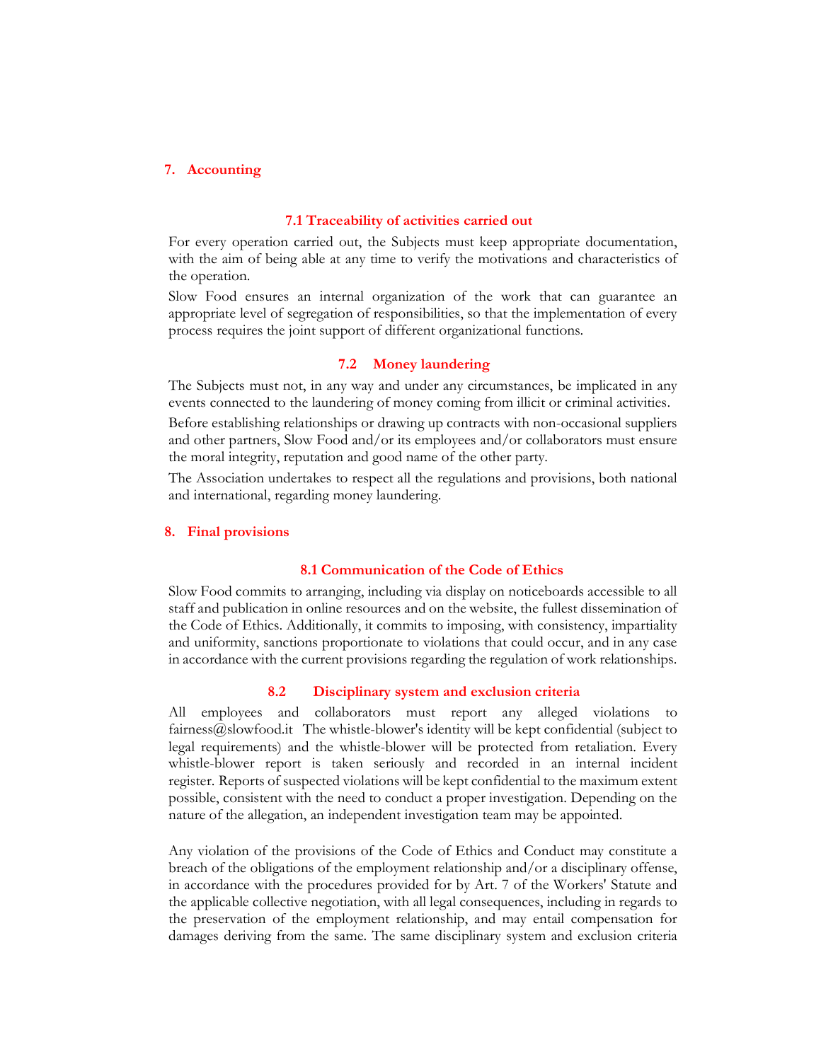## 7. Accounting

#### 7.1 Traceability of activities carried out

For every operation carried out, the Subjects must keep appropriate documentation, with the aim of being able at any time to verify the motivations and characteristics of the operation.

Slow Food ensures an internal organization of the work that can guarantee an appropriate level of segregation of responsibilities, so that the implementation of every process requires the joint support of different organizational functions.

#### 7.2 Money laundering

The Subjects must not, in any way and under any circumstances, be implicated in any events connected to the laundering of money coming from illicit or criminal activities.

Before establishing relationships or drawing up contracts with non-occasional suppliers and other partners, Slow Food and/or its employees and/or collaborators must ensure the moral integrity, reputation and good name of the other party.

The Association undertakes to respect all the regulations and provisions, both national and international, regarding money laundering.

## 8. Final provisions

### 8.1 Communication of the Code of Ethics

Slow Food commits to arranging, including via display on noticeboards accessible to all staff and publication in online resources and on the website, the fullest dissemination of the Code of Ethics. Additionally, it commits to imposing, with consistency, impartiality and uniformity, sanctions proportionate to violations that could occur, and in any case in accordance with the current provisions regarding the regulation of work relationships.

## 8.2 Disciplinary system and exclusion criteria

All employees and collaborators must report any alleged violations to fairness@slowfood.it The whistle-blower's identity will be kept confidential (subject to legal requirements) and the whistle-blower will be protected from retaliation. Every whistle-blower report is taken seriously and recorded in an internal incident register. Reports of suspected violations will be kept confidential to the maximum extent possible, consistent with the need to conduct a proper investigation. Depending on the nature of the allegation, an independent investigation team may be appointed.

Any violation of the provisions of the Code of Ethics and Conduct may constitute a breach of the obligations of the employment relationship and/or a disciplinary offense, in accordance with the procedures provided for by Art. 7 of the Workers' Statute and the applicable collective negotiation, with all legal consequences, including in regards to the preservation of the employment relationship, and may entail compensation for damages deriving from the same. The same disciplinary system and exclusion criteria